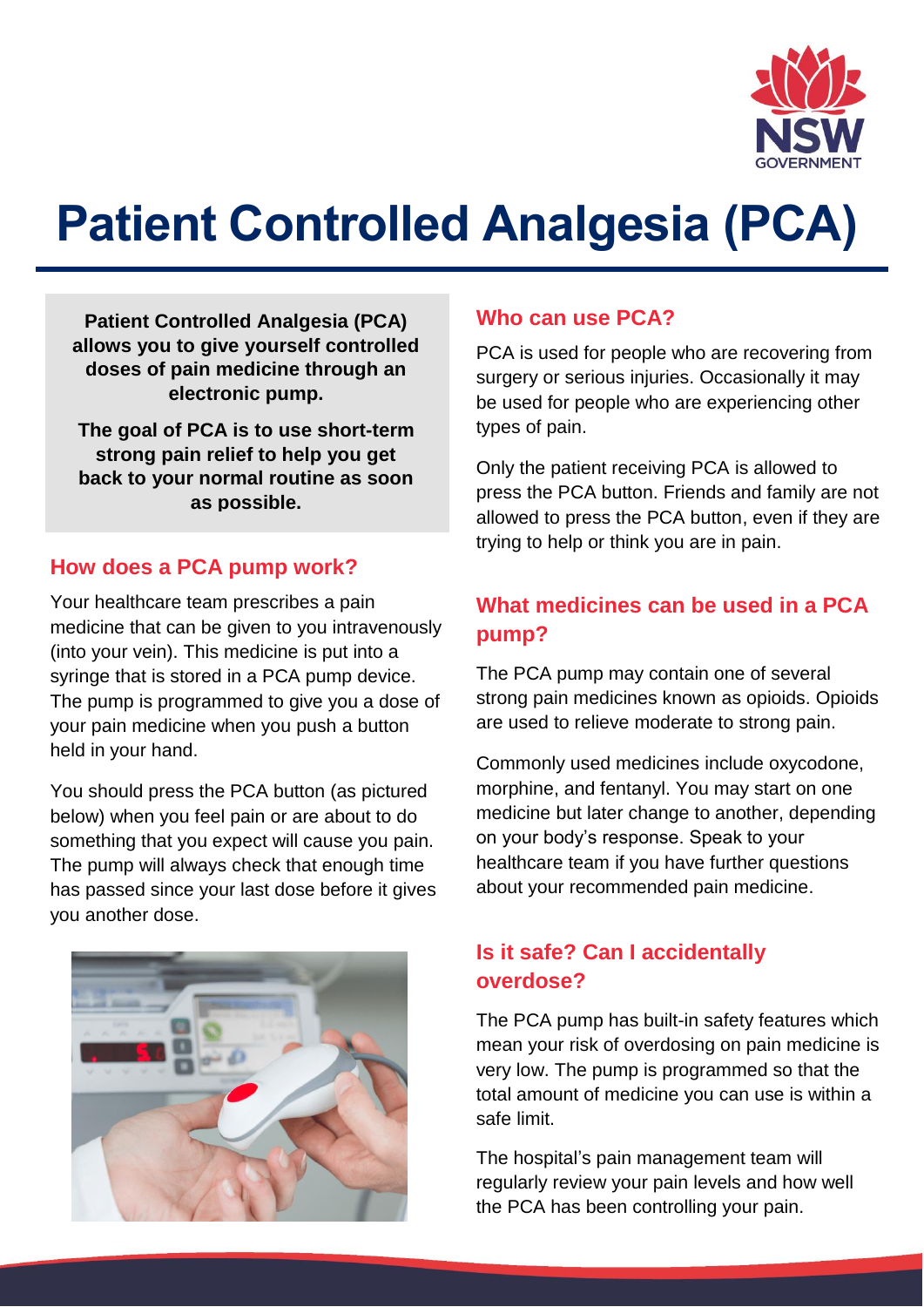

# **Patient Controlled Analgesia (PCA)**

**Patient Controlled Analgesia (PCA) allows you to give yourself controlled doses of pain medicine through an electronic pump.**

**The goal of PCA is to use short-term strong pain relief to help you get back to your normal routine as soon as possible.**

#### **How does a PCA pump work?**

Your healthcare team prescribes a pain medicine that can be given to you intravenously (into your vein). This medicine is put into a syringe that is stored in a PCA pump device. The pump is programmed to give you a dose of your pain medicine when you push a button held in your hand.

You should press the PCA button (as pictured below) when you feel pain or are about to do something that you expect will cause you pain. The pump will always check that enough time has passed since your last dose before it gives you another dose.



#### **Who can use PCA?**

PCA is used for people who are recovering from surgery or serious injuries. Occasionally it may be used for people who are experiencing other types of pain.

Only the patient receiving PCA is allowed to press the PCA button. Friends and family are not allowed to press the PCA button, even if they are trying to help or think you are in pain.

# **What medicines can be used in a PCA pump?**

The PCA pump may contain one of several strong pain medicines known as opioids. Opioids are used to relieve moderate to strong pain.

Commonly used medicines include oxycodone, morphine, and fentanyl. You may start on one medicine but later change to another, depending on your body's response. Speak to your healthcare team if you have further questions about your recommended pain medicine.

## **Is it safe? Can I accidentally overdose?**

The PCA pump has built-in safety features which mean your risk of overdosing on pain medicine is very low. The pump is programmed so that the total amount of medicine you can use is within a safe limit.

The hospital's pain management team will regularly review your pain levels and how well the PCA has been controlling your pain.